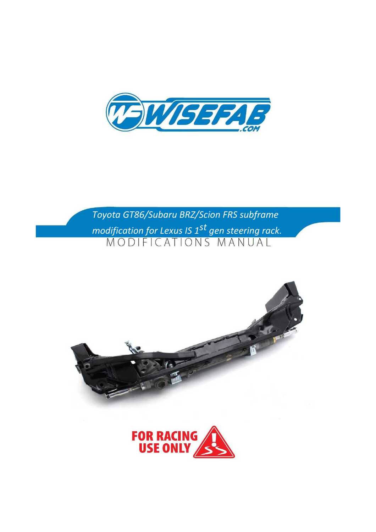

*Toyota GT86/Subaru BRZ/Scion FRS subframe modification for Lexus IS 1st gen steering rack.*



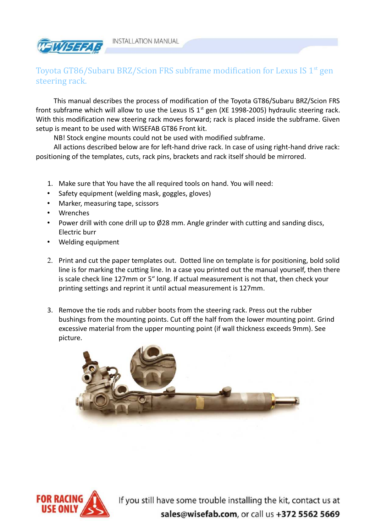

## Toyota GT86/Subaru BRZ/Scion FRS subframe modification for Lexus IS  $1<sup>st</sup>$  gen steering rack.

This manual describes the process of modification of the Toyota GT86/Subaru BRZ/Scion FRS front subframe which will allow to use the Lexus IS  $1<sup>st</sup>$  gen (XE 1998-2005) hydraulic steering rack. With this modification new steering rack moves forward; rack is placed inside the subframe. Given setup is meant to be used with WISEFAB GT86 Front kit.

NB! Stock engine mounts could not be used with modified subframe.

All actions described below are for left-hand drive rack. In case of using right-hand drive rack: positioning of the templates, cuts, rack pins, brackets and rack itself should be mirrored.

- 1. Make sure that You have the all required tools on hand. You will need:
- Safety equipment (welding mask, goggles, gloves)
- Marker, measuring tape, scissors
- Wrenches
- Power drill with cone drill up to Ø28 mm. Angle grinder with cutting and sanding discs, Electric burr
- Welding equipment
- 2. Print and cut the paper templates out. Dotted line on template is for positioning, bold solid line is for marking the cutting line. In a case you printed out the manual yourself, then there is scale check line 127mm or 5" long. If actual measurement is not that, then check your printing settings and reprint it until actual measurement is 127mm.
- 3. Remove the tie rods and rubber boots from the steering rack. Press out the rubber bushings from the mounting points. Cut off the half from the lower mounting point. Grind excessive material from the upper mounting point (if wall thickness exceeds 9mm). See picture.



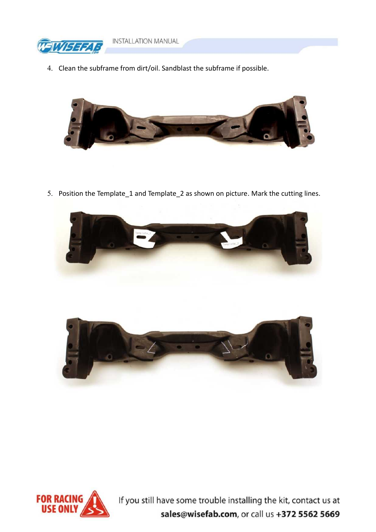

- **INSTALLATION MANUAL**
- 4. Clean the subframe from dirt/oil. Sandblast the subframe if possible.



5. Position the Template\_1 and Template\_2 as shown on picture. Mark the cutting lines.





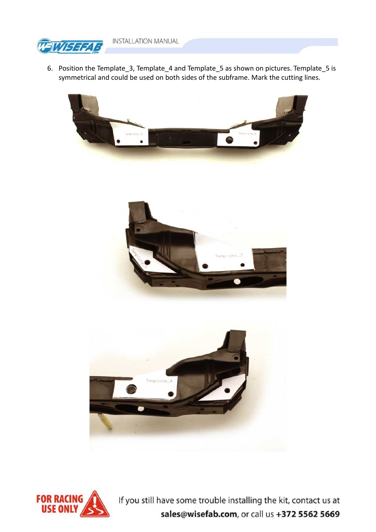

6. Position the Template\_3, Template\_4 and Template\_5 as shown on pictures. Template\_5 is symmetrical and could be used on both sides of the subframe. Mark the cutting lines.







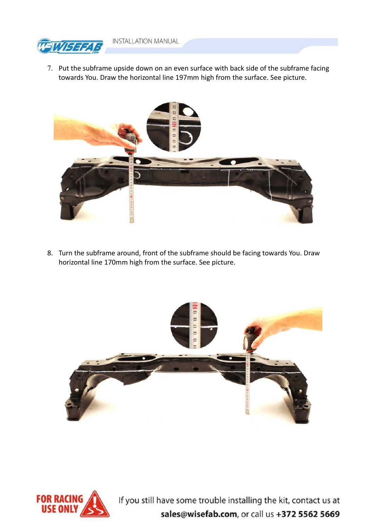

7. Put the subframe upside down on an even surface with back side of the subframe facing towards You. Draw the horizontal line 197mm high from the surface. See picture.



8. Turn the subframe around, front of the subframe should be facing towards You. Draw horizontal line 170mm high from the surface. See picture.



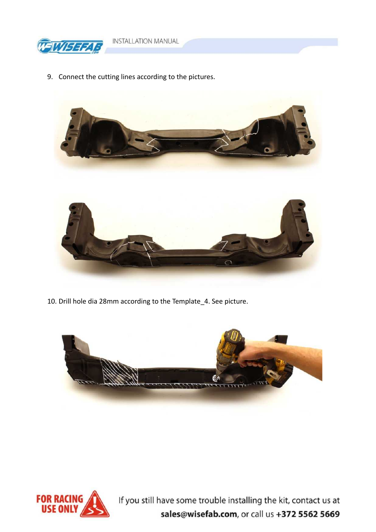

9. Connect the cutting lines according to the pictures.



10. Drill hole dia 28mm according to the Template 4. See picture.



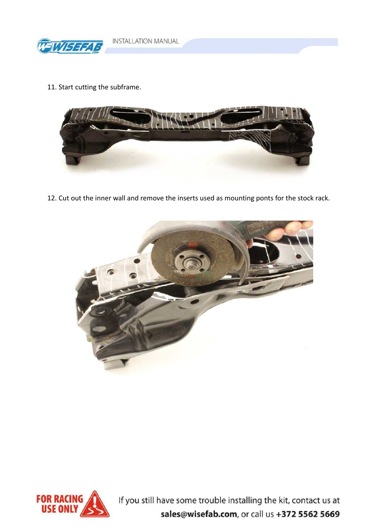

11. Start cutting the subframe.



12. Cut out the inner wall and remove the inserts used as mounting ponts for the stock rack.



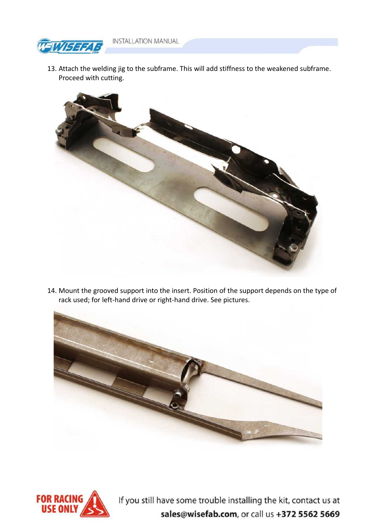**INSTALLATION MANUAL** 



13. Attach the welding jig to the subframe. This will add stiffness to the weakened subframe. Proceed with cutting.



14. Mount the grooved support into the insert. Position of the support depends on the type of rack used; for left-hand drive or right-hand drive. See pictures.



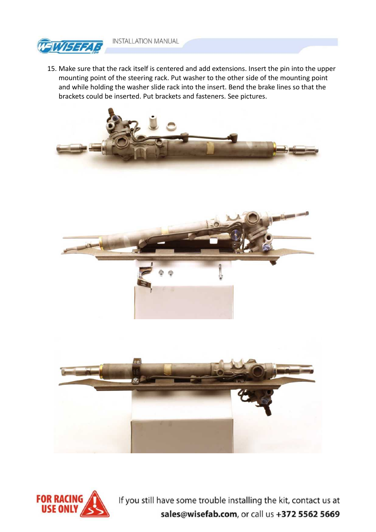

15. Make sure that the rack itself is centered and add extensions. Insert the pin into the upper mounting point of the steering rack. Put washer to the other side of the mounting point and while holding the washer slide rack into the insert. Bend the brake lines so that the brackets could be inserted. Put brackets and fasteners. See pictures.



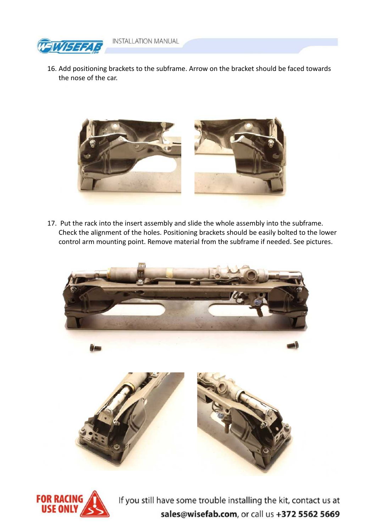



16. Add positioning brackets to the subframe. Arrow on the bracket should be faced towards the nose of the car.



17. Put the rack into the insert assembly and slide the whole assembly into the subframe. Check the alignment of the holes. Positioning brackets should be easily bolted to the lower control arm mounting point. Remove material from the subframe if needed. See pictures.



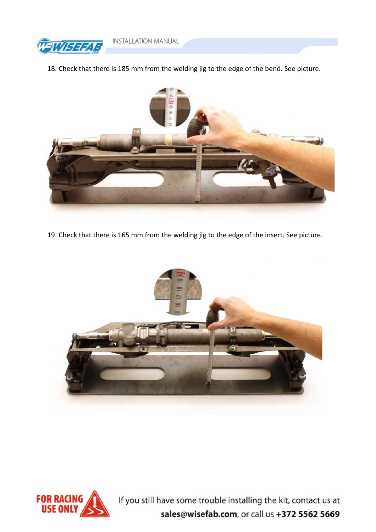

18. Check that there is 185 mm from the welding jig to the edge of the bend. See picture.



19. Check that there is 165 mm from the welding jig to the edge of the insert. See picture.



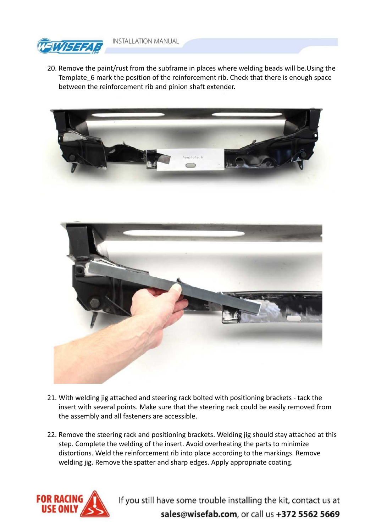

20. Remove the paint/rust from the subframe in places where welding beads will be.Using the Template\_6 mark the position of the reinforcement rib. Check that there is enough space between the reinforcement rib and pinion shaft extender.



- 21. With welding jig attached and steering rack bolted with positioning brackets tack the insert with several points. Make sure that the steering rack could be easily removed from the assembly and all fasteners are accessible.
- 22. Remove the steering rack and positioning brackets. Welding jig should stay attached at this step. Complete the welding of the insert. Avoid overheating the parts to minimize distortions. Weld the reinforcement rib into place according to the markings. Remove welding jig. Remove the spatter and sharp edges. Apply appropriate coating.

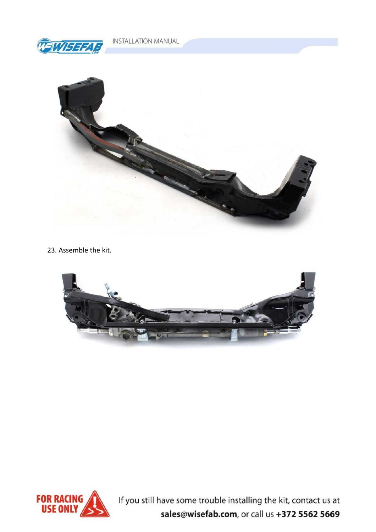

23. Assemble the kit.



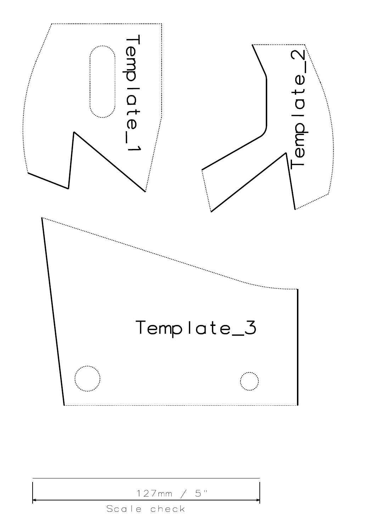

| 127mm / 5"  |
|-------------|
| Scale check |